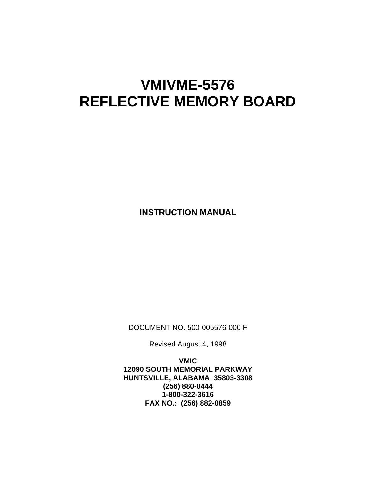# **VMIVME-5576 REFLECTIVE MEMORY BOARD**

**INSTRUCTION MANUAL** 

DOCUMENT NO. 500-005576-000 F

Revised August 4, 1998

**VMIC 12090 SOUTH MEMORIAL PARKWAY HUNTSVILLE, ALABAMA 35803-3308 (256) 880-0444 1-800-322-3616 FAX NO.: (256) 882-0859**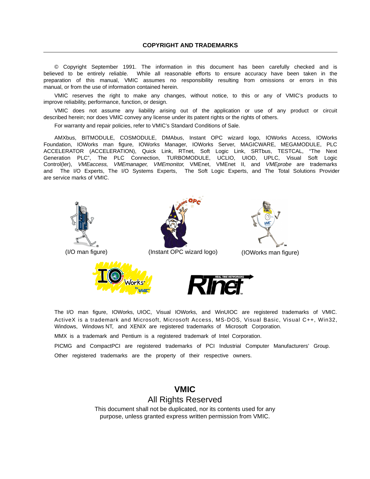© Copyright September 1991. The information in this document has been carefully checked and is believed to be entirely reliable. While all reasonable efforts to ensure accuracy have been taken in the preparation of this manual, VMIC assumes no responsibility resulting from omissions or errors in this manual, or from the use of information contained herein.

VMIC reserves the right to make any changes, without notice, to this or any of VMIC's products to improve reliability, performance, function, or design.

VMIC does not assume any liability arising out of the application or use of any product or circuit described herein; nor does VMIC convey any license under its patent rights or the rights of others.

For warranty and repair policies, refer to VMIC's Standard Conditions of Sale.

AMXbus, BITMODULE, COSMODULE, DMAbus, Instant OPC wizard logo, IOWorks Access, IOWorks Foundation, IOWorks man figure, IOWorks Manager, IOWorks Server, MAGICWARE, MEGAMODULE, PLC ACCELERATOR (ACCELERATION), Quick Link, RTnet, Soft Logic Link, SRTbus, TESTCAL, "The Next Generation PLC", The PLC Connection, TURBOMODULE, UCLIO, UIOD, UPLC, Visual Soft Logic Control(ler), VMEaccess, VMEmanager, VMEmonitor, VMEnet, VMEnet II, and VMEprobe are trademarks and The I/O Experts, The I/O Systems Experts, The Soft Logic Experts, and The Total Solutions Provider are service marks of VMIC.



The I/O man figure, IOWorks, UIOC, Visual IOWorks, and WinUIOC are registered trademarks of VMIC. ActiveX is a trademark and Microsoft, Microsoft Access, MS-DOS, Visual Basic, Visual C++, Win32, Windows, Windows NT, and XENIX are registered trademarks of Microsoft Corporation.

MMX is a trademark and Pentium is a registered trademark of Intel Corporation.

PICMG and CompactPCI are registered trademarks of PCI Industrial Computer Manufacturers' Group. Other registered trademarks are the property of their respective owners.

> **VMIC** All Rights Reserved This document shall not be duplicated, nor its contents used for any purpose, unless granted express written permission from VMIC.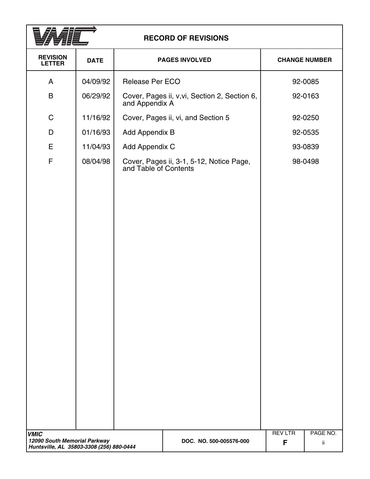

## **RECORD OF REVISIONS**

| <b>REVISION</b><br><b>LETTER</b>            | <b>DATE</b> |                                    | <b>PAGES INVOLVED</b> |                                               |                     | <b>CHANGE NUMBER</b> |
|---------------------------------------------|-------------|------------------------------------|-----------------------|-----------------------------------------------|---------------------|----------------------|
| A                                           | 04/09/92    | Release Per ECO                    |                       |                                               |                     | 92-0085              |
| B                                           | 06/29/92    | and Appendix A                     |                       | Cover, Pages ii, v, vi, Section 2, Section 6, |                     | 92-0163              |
| $\mathsf C$                                 | 11/16/92    | Cover, Pages ii, vi, and Section 5 |                       |                                               |                     | 92-0250              |
| D                                           | 01/16/93    | Add Appendix B                     |                       |                                               |                     | 92-0535              |
| E                                           | 11/04/93    | Add Appendix C                     |                       |                                               |                     | 93-0839              |
| F                                           | 08/04/98    | and Table of Contents              |                       | Cover, Pages ii, 3-1, 5-12, Notice Page,      |                     | 98-0498              |
| <b>VMIC</b><br>12090 South Memorial Parkway |             |                                    |                       | DOC. NO. 500-005576-000                       | <b>REV LTR</b><br>F | PAGE NO.<br>ij.      |
| Huntsville, AL 35803-3308 (256) 880-0444    |             |                                    |                       |                                               |                     |                      |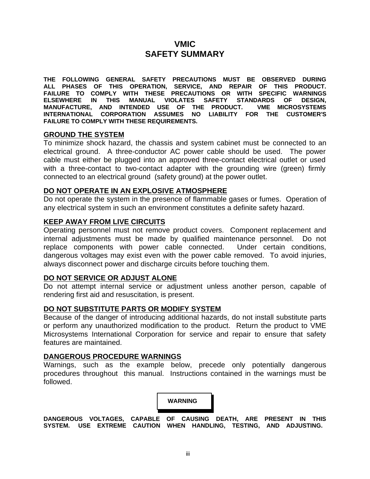## **VMIC SAFETY SUMMARY**

**THE FOLLOWING GENERAL SAFETY PRECAUTIONS MUST BE OBSERVED DURING ALL PHASES OF THIS OPERATION, SERVICE, AND REPAIR OF THIS PRODUCT. FAILURE TO COMPLY WITH THESE PRECAUTIONS OR WITH SPECIFIC WARNINGS ELSEWHERE IN THIS MANUAL VIOLATES SAFETY STANDARDS OF DESIGN, MANUFACTURE, AND INTENDED USE OF THE PRODUCT. VME MICROSYSTEMS INTERNATIONAL CORPORATION ASSUMES NO LIABILITY FOR THE CUSTOMER'S FAILURE TO COMPLY WITH THESE REQUIREMENTS.**

#### **GROUND THE SYSTEM**

To minimize shock hazard, the chassis and system cabinet must be connected to an electrical ground. A three-conductor AC power cable should be used. The power cable must either be plugged into an approved three-contact electrical outlet or used with a three-contact to two-contact adapter with the grounding wire (green) firmly connected to an electrical ground (safety ground) at the power outlet.

#### **DO NOT OPERATE IN AN EXPLOSIVE ATMOSPHERE**

Do not operate the system in the presence of flammable gases or fumes. Operation of any electrical system in such an environment constitutes a definite safety hazard.

#### **KEEP AWAY FROM LIVE CIRCUITS**

Operating personnel must not remove product covers. Component replacement and internal adjustments must be made by qualified maintenance personnel. Do not replace components with power cable connected. Under certain conditions, dangerous voltages may exist even with the power cable removed. To avoid injuries, always disconnect power and discharge circuits before touching them.

#### **DO NOT SERVICE OR ADJUST ALONE**

Do not attempt internal service or adjustment unless another person, capable of rendering first aid and resuscitation, is present.

#### **DO NOT SUBSTITUTE PARTS OR MODIFY SYSTEM**

Because of the danger of introducing additional hazards, do not install substitute parts or perform any unauthorized modification to the product. Return the product to VME Microsystems International Corporation for service and repair to ensure that safety features are maintained.

#### **DANGEROUS PROCEDURE WARNINGS**

Warnings, such as the example below, precede only potentially dangerous procedures throughout this manual. Instructions contained in the warnings must be followed.



**DANGEROUS VOLTAGES, CAPABLE OF CAUSING DEATH, ARE PRESENT IN THIS SYSTEM. USE EXTREME CAUTION WHEN HANDLING, TESTING, AND ADJUSTING.**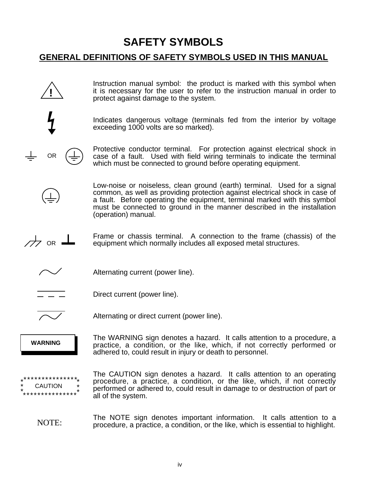# **SAFETY SYMBOLS**

## **GENERAL DEFINITIONS OF SAFETY SYMBOLS USED IN THIS MANUAL**

**!** OR  $\overline{\overline{C}}$  or  $\overline{\phantom{A}}$ **WARNING** \*\*\*\*\*\*\*\*\*\*\*\*\*\*\* \*\*\*\*\*\*\*\*\*\*\*\*\*\*\* \* \* \* \* \* **CAUTION** NOTE: Instruction manual symbol: the product is marked with this symbol when it is necessary for the user to refer to the instruction manual in order to protect against damage to the system. Indicates dangerous voltage (terminals fed from the interior by voltage exceeding 1000 volts are so marked). Protective conductor terminal. For protection against electrical shock in case of a fault. Used with field wiring terminals to indicate the terminal which must be connected to ground before operating equipment. Low-noise or noiseless, clean ground (earth) terminal. Used for a signal common, as well as providing protection against electrical shock in case of a fault. Before operating the equipment, terminal marked with this symbol must be connected to ground in the manner described in the installation (operation) manual. Frame or chassis terminal. A connection to the frame (chassis) of the equipment which normally includes all exposed metal structures. Alternating current (power line). Direct current (power line). Alternating or direct current (power line). The WARNING sign denotes a hazard. It calls attention to a procedure, a practice, a condition, or the like, which, if not correctly performed or adhered to, could result in injury or death to personnel. The CAUTION sign denotes a hazard. It calls attention to an operating procedure, a practice, a condition, or the like, which, if not correctly performed or adhered to, could result in damage to or destruction of part or all of the system. The NOTE sign denotes important information. It calls attention to a procedure, a practice, a condition, or the like, which is essential to highlight.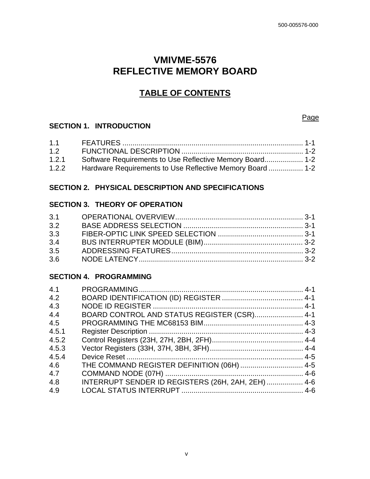## **VMIVME-5576 REFLECTIVE MEMORY BOARD**

## **TABLE OF CONTENTS**

### **SECTION 1. INTRODUCTION**

| 1.2                                                                |  |
|--------------------------------------------------------------------|--|
| 1.2.1<br>Software Requirements to Use Reflective Memory Board 1-2  |  |
| 1.2.2<br>Hardware Requirements to Use Reflective Memory Board  1-2 |  |

## **SECTION 2. PHYSICAL DESCRIPTION AND SPECIFICATIONS**

## **SECTION 3. THEORY OF OPERATION**

| 3.2 |  |
|-----|--|
| 3.3 |  |
| 3.4 |  |
| 3.5 |  |
| 3.6 |  |

## **SECTION 4. PROGRAMMING**

| 4.1   |                                                    |  |
|-------|----------------------------------------------------|--|
| 4.2   |                                                    |  |
| 4.3   |                                                    |  |
| 4.4   | BOARD CONTROL AND STATUS REGISTER (CSR) 4-1        |  |
| 4.5   |                                                    |  |
| 4.5.1 |                                                    |  |
| 4.5.2 |                                                    |  |
| 4.5.3 |                                                    |  |
| 4.5.4 |                                                    |  |
| 4.6   |                                                    |  |
| 4.7   |                                                    |  |
| 4.8   | INTERRUPT SENDER ID REGISTERS (26H, 2AH, 2EH)  4-6 |  |
| 4.9   |                                                    |  |
|       |                                                    |  |

Page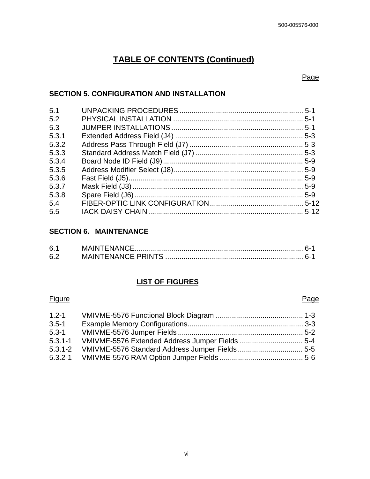## **TABLE OF CONTENTS (Continued)**

#### Page

### **SECTION 5. CONFIGURATION AND INSTALLATION**

| 5.1   |  |
|-------|--|
| 5.2   |  |
| 5.3   |  |
| 5.3.1 |  |
| 5.3.2 |  |
| 5.3.3 |  |
| 5.3.4 |  |
| 5.3.5 |  |
| 5.3.6 |  |
| 5.3.7 |  |
| 5.3.8 |  |
| 5.4   |  |
| 5.5   |  |

## **SECTION 6. MAINTENANCE**

| 6.7 |  |  |
|-----|--|--|
| 6.2 |  |  |

### **LIST OF FIGURES**

#### Figure Page **Page 2018**

| $1.2 - 1$   |  |
|-------------|--|
| $3.5 - 1$   |  |
| $5.3 - 1$   |  |
| $5.3.1 - 1$ |  |
|             |  |
|             |  |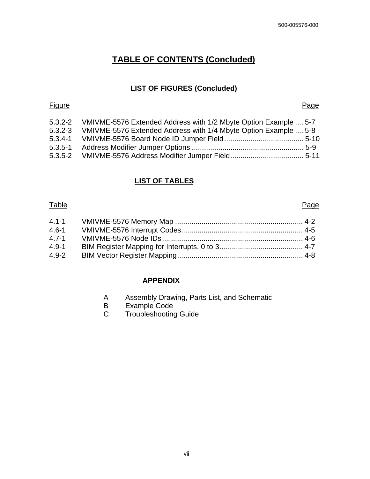## **TABLE OF CONTENTS (Concluded)**

### **LIST OF FIGURES (Concluded)**

#### Figure Page **Page 2018**

|             | 5.3.2-2 VMIVME-5576 Extended Address with 1/2 Mbyte Option Example  5-7 |  |
|-------------|-------------------------------------------------------------------------|--|
| $5.3.2 - 3$ | VMIVME-5576 Extended Address with 1/4 Mbyte Option Example  5-8         |  |
|             |                                                                         |  |
|             |                                                                         |  |
|             |                                                                         |  |

### **LIST OF TABLES**

#### Table Page **Page 2018**

| $4.1 - 1$ |  |
|-----------|--|
| $4.6 - 1$ |  |
| $4.7 - 1$ |  |
| $4.9 - 1$ |  |
| $4.9 - 2$ |  |

### **APPENDIX**

- A Assembly Drawing, Parts List, and Schematic
- B Example Code
- C Troubleshooting Guide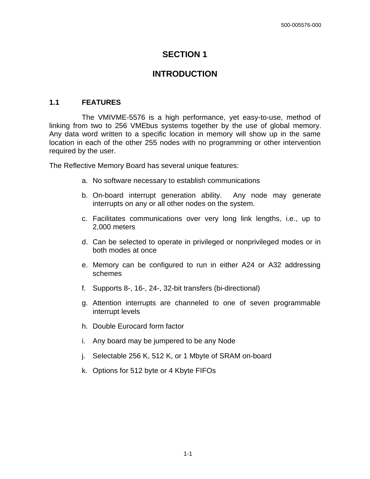## **SECTION 1**

## **INTRODUCTION**

#### **1.1 FEATURES**

The VMIVME-5576 is a high performance, yet easy-to-use, method of linking from two to 256 VMEbus systems together by the use of global memory. Any data word written to a specific location in memory will show up in the same location in each of the other 255 nodes with no programming or other intervention required by the user.

The Reflective Memory Board has several unique features:

- a. No software necessary to establish communications
- b. On-board interrupt generation ability. Any node may generate interrupts on any or all other nodes on the system.
- c. Facilitates communications over very long link lengths, i.e., up to 2,000 meters
- d. Can be selected to operate in privileged or nonprivileged modes or in both modes at once
- e. Memory can be configured to run in either A24 or A32 addressing schemes
- f. Supports 8-, 16-, 24-, 32-bit transfers (bi-directional)
- g. Attention interrupts are channeled to one of seven programmable interrupt levels
- h. Double Eurocard form factor
- i. Any board may be jumpered to be any Node
- j. Selectable 256 K, 512 K, or 1 Mbyte of SRAM on-board
- k. Options for 512 byte or 4 Kbyte FIFOs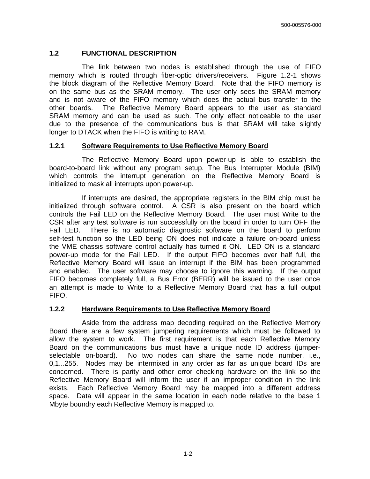#### **1.2 FUNCTIONAL DESCRIPTION**

The link between two nodes is established through the use of FIFO memory which is routed through fiber-optic drivers/receivers. Figure 1.2-1 shows the block diagram of the Reflective Memory Board. Note that the FIFO memory is on the same bus as the SRAM memory. The user only sees the SRAM memory and is not aware of the FIFO memory which does the actual bus transfer to the other boards. The Reflective Memory Board appears to the user as standard SRAM memory and can be used as such. The only effect noticeable to the user due to the presence of the communications bus is that SRAM will take slightly longer to DTACK when the FIFO is writing to RAM.

#### **1.2.1 Software Requirements to Use Reflective Memory Board**

The Reflective Memory Board upon power-up is able to establish the board-to-board link without any program setup. The Bus Interrupter Module (BIM) which controls the interrupt generation on the Reflective Memory Board is initialized to mask all interrupts upon power-up.

If interrupts are desired, the appropriate registers in the BIM chip must be initialized through software control. A CSR is also present on the board which controls the Fail LED on the Reflective Memory Board. The user must Write to the CSR after any test software is run successfully on the board in order to turn OFF the Fail LED. There is no automatic diagnostic software on the board to perform self-test function so the LED being ON does not indicate a failure on-board unless the VME chassis software control actually has turned it ON. LED ON is a standard power-up mode for the Fail LED. If the output FIFO becomes over half full, the Reflective Memory Board will issue an interrupt if the BIM has been programmed and enabled. The user software may choose to ignore this warning. If the output FIFO becomes completely full, a Bus Error (BERR) will be issued to the user once an attempt is made to Write to a Reflective Memory Board that has a full output FIFO.

#### **1.2.2 Hardware Requirements to Use Reflective Memory Board**

Aside from the address map decoding required on the Reflective Memory Board there are a few system jumpering requirements which must be followed to allow the system to work. The first requirement is that each Reflective Memory Board on the communications bus must have a unique node ID address (jumperselectable on-board). No two nodes can share the same node number, i.e., 0,1...255. Nodes may be intermixed in any order as far as unique board IDs are concerned. There is parity and other error checking hardware on the link so the Reflective Memory Board will inform the user if an improper condition in the link exists. Each Reflective Memory Board may be mapped into a different address space. Data will appear in the same location in each node relative to the base 1 Mbyte boundry each Reflective Memory is mapped to.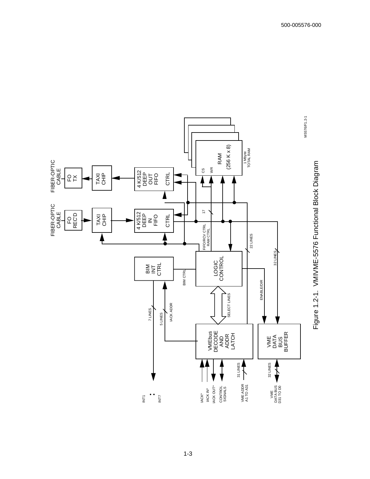

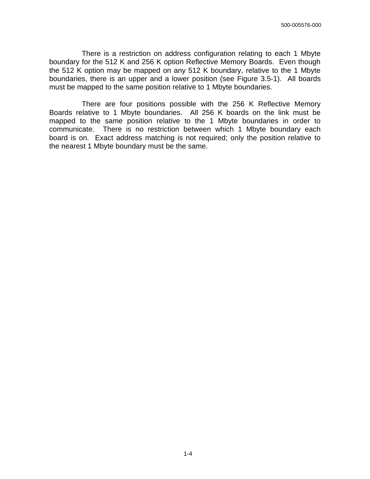There is a restriction on address configuration relating to each 1 Mbyte boundary for the 512 K and 256 K option Reflective Memory Boards. Even though the 512 K option may be mapped on any 512 K boundary, relative to the 1 Mbyte boundaries, there is an upper and a lower position (see Figure 3.5-1). All boards must be mapped to the same position relative to 1 Mbyte boundaries.

There are four positions possible with the 256 K Reflective Memory Boards relative to 1 Mbyte boundaries. All 256 K boards on the link must be mapped to the same position relative to the 1 Mbyte boundaries in order to communicate. There is no restriction between which 1 Mbyte boundary each board is on. Exact address matching is not required; only the position relative to the nearest 1 Mbyte boundary must be the same.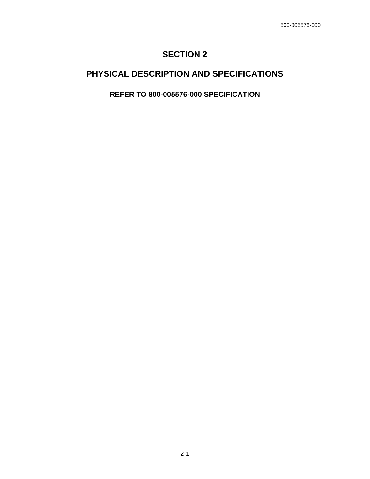## **SECTION 2**

## **PHYSICAL DESCRIPTION AND SPECIFICATIONS**

**REFER TO 800-005576-000 SPECIFICATION**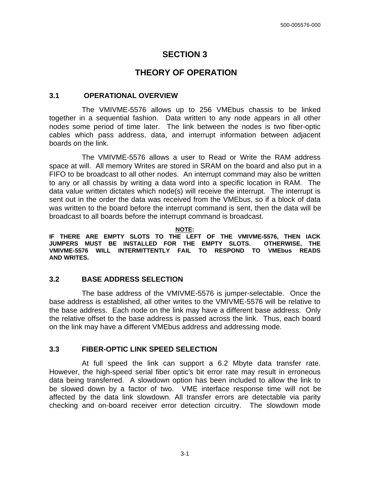## **SECTION 3**

## **THEORY OF OPERATION**

#### **3.1 OPERATIONAL OVERVIEW**

The VMIVME-5576 allows up to 256 VMEbus chassis to be linked together in a sequential fashion. Data written to any node appears in all other nodes some period of time later. The link between the nodes is two fiber-optic cables which pass address, data, and interrupt information between adjacent boards on the link.

The VMIVME-5576 allows a user to Read or Write the RAM address space at will. All memory Writes are stored in SRAM on the board and also put in a FIFO to be broadcast to all other nodes. An interrupt command may also be written to any or all chassis by writing a data word into a specific location in RAM. The data value written dictates which node(s) will receive the interrupt. The interrupt is sent out in the order the data was received from the VMEbus, so if a block of data was written to the board before the interrupt command is sent, then the data will be broadcast to all boards before the interrupt command is broadcast.

**NOTE:** 

**IF THERE ARE EMPTY SLOTS TO THE LEFT OF THE VMIVME-5576, THEN IACK** JUMPERS MUST BE INSTALLED FOR THE EMPTY SLOTS. **VMIVME-5576 WILL INTERMITTENTLY FAIL TO RESPOND TO VMEbus READS AND WRITES.**

### **3.2 BASE ADDRESS SELECTION**

The base address of the VMIVME-5576 is jumper-selectable. Once the base address is established, all other writes to the VMIVME-5576 will be relative to the base address. Each node on the link may have a different base address. Only the relative offset to the base address is passed across the link. Thus, each board on the link may have a different VMEbus address and addressing mode.

### **3.3 FIBER-OPTIC LINK SPEED SELECTION**

At full speed the link can support a 6.2 Mbyte data transfer rate. However, the high-speed serial fiber optic's bit error rate may result in erroneous data being transferred. A slowdown option has been included to allow the link to be slowed down by a factor of two. VME interface response time will not be affected by the data link slowdown. All transfer errors are detectable via parity checking and on-board receiver error detection circuitry. The slowdown mode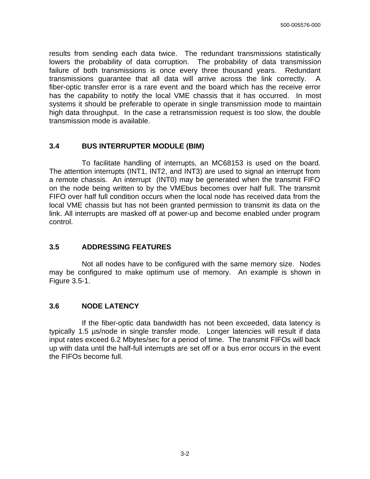results from sending each data twice. The redundant transmissions statistically lowers the probability of data corruption. The probability of data transmission failure of both transmissions is once every three thousand years. Redundant transmissions guarantee that all data will arrive across the link correctly. A fiber-optic transfer error is a rare event and the board which has the receive error has the capability to notify the local VME chassis that it has occurred. In most systems it should be preferable to operate in single transmission mode to maintain high data throughput. In the case a retransmission request is too slow, the double transmission mode is available.

#### **3.4 BUS INTERRUPTER MODULE (BIM)**

To facilitate handling of interrupts, an MC68153 is used on the board. The attention interrupts (INT1, INT2, and INT3) are used to signal an interrupt from a remote chassis. An interrupt (INT0) may be generated when the transmit FIFO on the node being written to by the VMEbus becomes over half full. The transmit FIFO over half full condition occurs when the local node has received data from the local VME chassis but has not been granted permission to transmit its data on the link. All interrupts are masked off at power-up and become enabled under program control.

#### **3.5 ADDRESSING FEATURES**

Not all nodes have to be configured with the same memory size. Nodes may be configured to make optimum use of memory. An example is shown in Figure 3.5-1.

#### **3.6 NODE LATENCY**

If the fiber-optic data bandwidth has not been exceeded, data latency is typically 1.5 µs/node in single transfer mode. Longer latencies will result if data input rates exceed 6.2 Mbytes/sec for a period of time. The transmit FIFOs will back up with data until the half-full interrupts are set off or a bus error occurs in the event the FIFOs become full.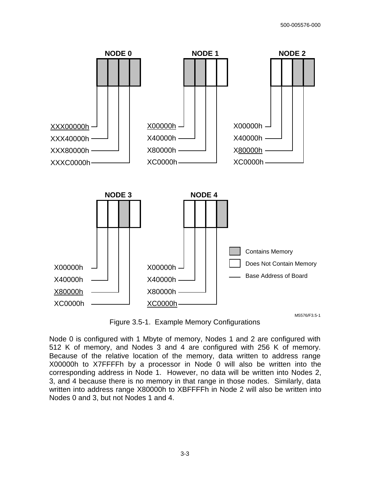

Figure 3.5-1. Example Memory Configurations

Node 0 is configured with 1 Mbyte of memory, Nodes 1 and 2 are configured with 512 K of memory, and Nodes 3 and 4 are configured with 256 K of memory. Because of the relative location of the memory, data written to address range X00000h to X7FFFFh by a processor in Node 0 will also be written into the corresponding address in Node 1. However, no data will be written into Nodes 2, 3, and 4 because there is no memory in that range in those nodes. Similarly, data written into address range X80000h to XBFFFFh in Node 2 will also be written into Nodes 0 and 3, but not Nodes 1 and 4.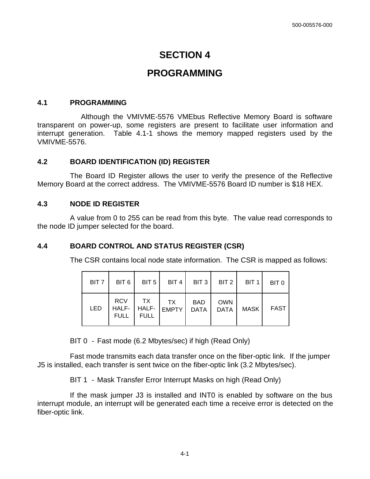## **SECTION 4**

## **PROGRAMMING**

#### **4.1 PROGRAMMING**

 Although the VMIVME-5576 VMEbus Reflective Memory Board is software transparent on power-up, some registers are present to facilitate user information and interrupt generation. Table 4.1-1 shows the memory mapped registers used by the VMIVME-5576.

#### **4.2 BOARD IDENTIFICATION (ID) REGISTER**

The Board ID Register allows the user to verify the presence of the Reflective Memory Board at the correct address. The VMIVME-5576 Board ID number is \$18 HEX.

#### **4.3 NODE ID REGISTER**

A value from 0 to 255 can be read from this byte. The value read corresponds to the node ID jumper selected for the board.

### **4.4 BOARD CONTROL AND STATUS REGISTER (CSR)**

The CSR contains local node state information. The CSR is mapped as follows:

| BIT <sub>7</sub> |                    | $BIT 6$   BIT $5$ |                                            | BIT 4   BIT 3 |                    | $BIT2$ BIT 1 | BIT 0       |
|------------------|--------------------|-------------------|--------------------------------------------|---------------|--------------------|--------------|-------------|
| <b>LED</b>       | RCV<br><b>FULL</b> | TX<br><b>FULL</b> | $\vert$ TX<br>HALF-   HALF-   EMPTY   DATA | <b>BAD</b>    | <b>OWN</b><br>DATA | <b>MASK</b>  | <b>FAST</b> |

BIT 0 - Fast mode (6.2 Mbytes/sec) if high (Read Only)

 Fast mode transmits each data transfer once on the fiber-optic link. If the jumper J5 is installed, each transfer is sent twice on the fiber-optic link (3.2 Mbytes/sec).

BIT 1 - Mask Transfer Error Interrupt Masks on high (Read Only)

 If the mask jumper J3 is installed and INT0 is enabled by software on the bus interrupt module, an interrupt will be generated each time a receive error is detected on the fiber-optic link.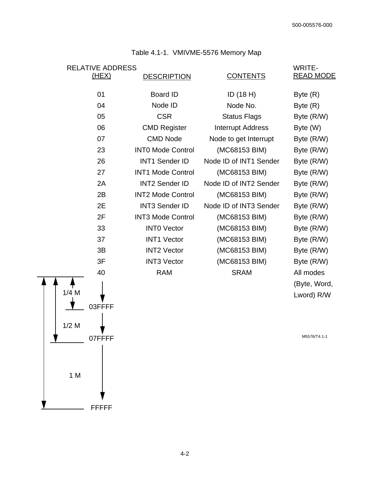| <b>RELATIVE ADDRESS</b><br>(HEX) | <b>DESCRIPTION</b>       | <b>CONTENTS</b>          | <b>WRITE-</b><br><b>READ MODE</b> |
|----------------------------------|--------------------------|--------------------------|-----------------------------------|
|                                  |                          |                          |                                   |
| 01                               | Board ID                 | ID $(18 H)$              | Byte $(R)$                        |
| 04                               | Node ID                  | Node No.                 | Byte $(R)$                        |
| 05                               | <b>CSR</b>               | <b>Status Flags</b>      | Byte (R/W)                        |
| 06                               | <b>CMD Register</b>      | <b>Interrupt Address</b> | Byte (W)                          |
| 07                               | <b>CMD Node</b>          | Node to get Interrupt    | Byte (R/W)                        |
| 23                               | <b>INTO Mode Control</b> | (MC68153 BIM)            | Byte (R/W)                        |
| 26                               | <b>INT1 Sender ID</b>    | Node ID of INT1 Sender   | Byte (R/W)                        |
| 27                               | <b>INT1 Mode Control</b> | (MC68153 BIM)            | Byte (R/W)                        |
| 2A                               | <b>INT2 Sender ID</b>    | Node ID of INT2 Sender   | Byte (R/W)                        |
| 2B                               | <b>INT2 Mode Control</b> | (MC68153 BIM)            | Byte (R/W)                        |
| 2E                               | <b>INT3 Sender ID</b>    | Node ID of INT3 Sender   | Byte (R/W)                        |
| 2F                               | <b>INT3 Mode Control</b> | (MC68153 BIM)            | Byte (R/W)                        |
| 33                               | <b>INTO Vector</b>       | (MC68153 BIM)            | Byte (R/W)                        |
| 37                               | <b>INT1 Vector</b>       | (MC68153 BIM)            | Byte (R/W)                        |
| 3B                               | <b>INT2 Vector</b>       | (MC68153 BIM)            | Byte (R/W)                        |
| 3F                               | <b>INT3 Vector</b>       | (MC68153 BIM)            | Byte (R/W)                        |
| 40                               | <b>RAM</b>               | <b>SRAM</b>              | All modes                         |
|                                  |                          |                          | (Byte, Word,                      |

#### Table 4.1-1. VMIVME-5576 Memory Map



M5576/T4.1-1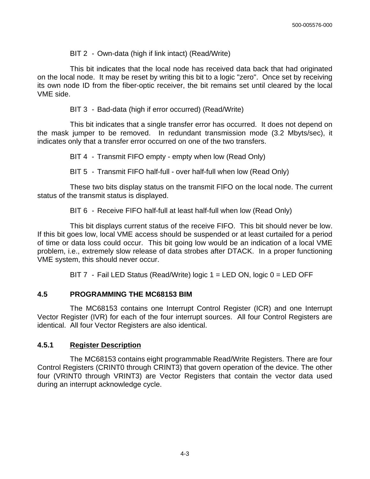#### BIT 2 - Own-data (high if link intact) (Read/Write)

 This bit indicates that the local node has received data back that had originated on the local node. It may be reset by writing this bit to a logic "zero". Once set by receiving its own node ID from the fiber-optic receiver, the bit remains set until cleared by the local VME side.

BIT 3 - Bad-data (high if error occurred) (Read/Write)

 This bit indicates that a single transfer error has occurred. It does not depend on the mask jumper to be removed. In redundant transmission mode (3.2 Mbyts/sec), it indicates only that a transfer error occurred on one of the two transfers.

BIT 4 - Transmit FIFO empty - empty when low (Read Only)

BIT 5 - Transmit FIFO half-full - over half-full when low (Read Only)

 These two bits display status on the transmit FIFO on the local node. The current status of the transmit status is displayed.

BIT 6 - Receive FIFO half-full at least half-full when low (Read Only)

 This bit displays current status of the receive FIFO. This bit should never be low. If this bit goes low, local VME access should be suspended or at least curtailed for a period of time or data loss could occur. This bit going low would be an indication of a local VME problem, i.e., extremely slow release of data strobes after DTACK. In a proper functioning VME system, this should never occur.

BIT 7 - Fail LED Status (Read/Write) logic 1 = LED ON, logic 0 = LED OFF

#### **4.5 PROGRAMMING THE MC68153 BIM**

The MC68153 contains one Interrupt Control Register (ICR) and one Interrupt Vector Register (IVR) for each of the four interrupt sources. All four Control Registers are identical. All four Vector Registers are also identical.

#### **4.5.1 Register Description**

The MC68153 contains eight programmable Read/Write Registers. There are four Control Registers (CRINT0 through CRINT3) that govern operation of the device. The other four (VRINT0 through VRINT3) are Vector Registers that contain the vector data used during an interrupt acknowledge cycle.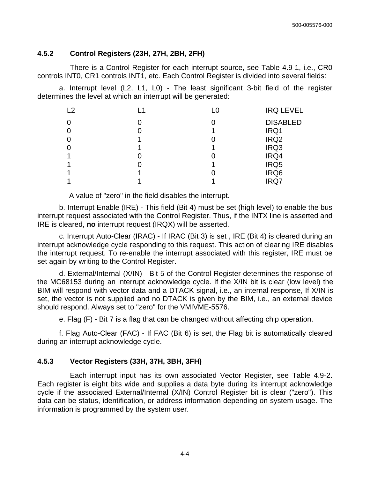#### **4.5.2 Control Registers (23H, 27H, 2BH, 2FH)**

There is a Control Register for each interrupt source, see Table 4.9-1, i.e., CR0 controls INT0, CR1 controls INT1, etc. Each Control Register is divided into several fields:

 a. Interrupt level (L2, L1, L0) - The least significant 3-bit field of the register determines the level at which an interrupt will be generated:

| ി | L0 | <b>IRQ LEVEL</b> |
|---|----|------------------|
|   |    | <b>DISABLED</b>  |
|   |    | IRQ1             |
|   |    | IRQ <sub>2</sub> |
|   |    | IRQ3             |
|   |    | IRQ4             |
|   |    | IRQ5             |
|   |    | IRQ6             |
|   |    | <b>IRQ7</b>      |

A value of "zero" in the field disables the interrupt.

 b. Interrupt Enable (IRE) - This field (Bit 4) must be set (high level) to enable the bus interrupt request associated with the Control Register. Thus, if the INTX line is asserted and IRE is cleared, **no** interrupt request (IRQX) will be asserted.

 c. Interrupt Auto-Clear (IRAC) - If IRAC (Bit 3) is set , IRE (Bit 4) is cleared during an interrupt acknowledge cycle responding to this request. This action of clearing IRE disables the interrupt request. To re-enable the interrupt associated with this register, IRE must be set again by writing to the Control Register.

 d. External/Internal (X/IN) - Bit 5 of the Control Register determines the response of the MC68153 during an interrupt acknowledge cycle. If the X/IN bit is clear (low level) the BIM will respond with vector data and a DTACK signal, i.e., an internal response, If X/IN is set, the vector is not supplied and no DTACK is given by the BIM, i.e., an external device should respond. Always set to "zero" for the VMIVME-5576.

e. Flag (F) - Bit 7 is a flag that can be changed without affecting chip operation.

 f. Flag Auto-Clear (FAC) - If FAC (Bit 6) is set, the Flag bit is automatically cleared during an interrupt acknowledge cycle.

#### **4.5.3 Vector Registers (33H, 37H, 3BH, 3FH)**

 Each interrupt input has its own associated Vector Register, see Table 4.9-2. Each register is eight bits wide and supplies a data byte during its interrupt acknowledge cycle if the associated External/Internal (X/IN) Control Register bit is clear ("zero"). This data can be status, identification, or address information depending on system usage. The information is programmed by the system user.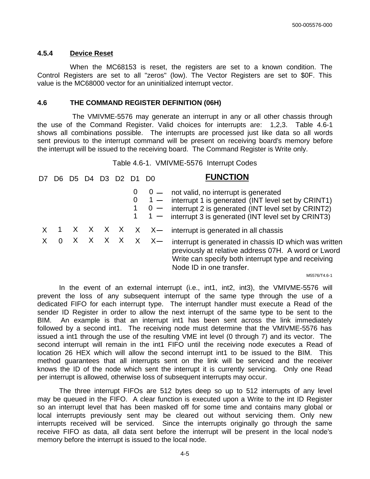#### **4.5.4 Device Reset**

When the MC68153 is reset, the registers are set to a known condition. The Control Registers are set to all "zeros" (low). The Vector Registers are set to \$0F. This value is the MC68000 vector for an uninitialized interrupt vector.

#### **4.6 THE COMMAND REGISTER DEFINITION (06H)**

The VMIVME-5576 may generate an interrupt in any or all other chassis through the use of the Command Register. Valid choices for interrupts are: 1,2,3. Table 4.6-1 shows all combinations possible. The interrupts are processed just like data so all words sent previous to the interrupt command will be present on receiving board's memory before the interrupt will be issued to the receiving board. The Command Register is Write only.

Table 4.6-1. VMIVME-5576 Interrupt Codes

| D7 | לנו | 1)4 | D <sub>3</sub> | D <sub>2</sub> |               | <b>FUNCTION</b>                                                                                                                                                                                                                            |
|----|-----|-----|----------------|----------------|---------------|--------------------------------------------------------------------------------------------------------------------------------------------------------------------------------------------------------------------------------------------|
|    |     |     |                |                |               | $0 - 0$ - not valid, no interrupt is generated<br>$0 \quad 1 -$ interrupt 1 is generated (INT level set by CRINT1)<br>$0 -$ interrupt 2 is generated (INT level set by CRINT2)<br>$1 -$ interrupt 3 is generated (INT level set by CRINT3) |
|    |     |     |                |                | X X X X X X — | interrupt is generated in all chassis                                                                                                                                                                                                      |
|    |     |     |                |                | X X X X X X — | interrupt is generated in chassis ID which was written<br>previously at relative address 07H. A word or Lword<br>Write can specify both interrupt type and receiving<br>Node ID in one transfer.                                           |
|    |     |     |                |                |               | M5576/T4.6-1                                                                                                                                                                                                                               |

 In the event of an external interrupt (i.e., int1, int2, int3), the VMIVME-5576 will prevent the loss of any subsequent interrupt of the same type through the use of a dedicated FIFO for each interrupt type. The interrupt handler must execute a Read of the sender ID Register in order to allow the next interrupt of the same type to be sent to the BIM. An example is that an interrupt int1 has been sent across the link immediately followed by a second int1. The receiving node must determine that the VMIVME-5576 has issued a int1 through the use of the resulting VME int level (0 through 7) and its vector. The second interrupt will remain in the int1 FIFO until the receiving node executes a Read of location 26 HEX which will allow the second interrupt int1 to be issued to the BIM. This method guarantees that all interrupts sent on the link will be serviced and the receiver knows the ID of the node which sent the interrupt it is currently servicing. Only one Read per interrupt is allowed, otherwise loss of subsequent interrupts may occur.

 The three interrupt FIFOs are 512 bytes deep so up to 512 interrupts of any level may be queued in the FIFO. A clear function is executed upon a Write to the int ID Register so an interrupt level that has been masked off for some time and contains many global or local interrupts previously sent may be cleared out without servicing them. Only new interrupts received will be serviced. Since the interrupts originally go through the same receive FIFO as data, all data sent before the interrupt will be present in the local node's memory before the interrupt is issued to the local node.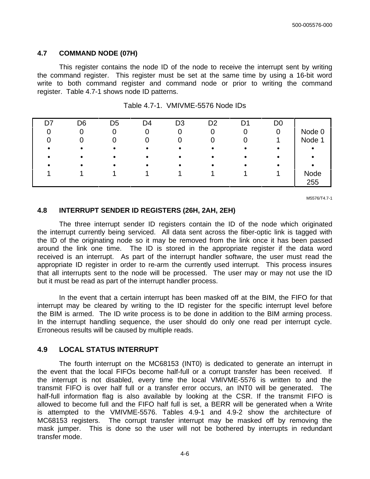#### **4.7 COMMAND NODE (07H)**

 This register contains the node ID of the node to receive the interrupt sent by writing the command register. This register must be set at the same time by using a 16-bit word write to both command register and command node or prior to writing the command register. Table 4.7-1 shows node ID patterns.

| D7 | D6 | D5 | D4 | D3 | D <sub>2</sub> | D۹ | D <sub>0</sub> |        |
|----|----|----|----|----|----------------|----|----------------|--------|
|    |    |    |    |    |                |    |                | Node 0 |
|    |    |    |    |    |                |    |                | Node 1 |
|    |    |    |    |    |                |    |                |        |
|    |    |    |    |    |                |    |                |        |
|    |    |    |    |    |                |    |                |        |
|    |    |    |    |    |                |    |                | Node   |
|    |    |    |    |    |                |    |                | 255    |

|  |  | Table 4.7-1. VMIVME-5576 Node IDs |
|--|--|-----------------------------------|
|--|--|-----------------------------------|

M5576/T4.7-1

#### **4.8 INTERRUPT SENDER ID REGISTERS (26H, 2AH, 2EH)**

The three interrupt sender ID registers contain the ID of the node which originated the interrupt currently being serviced. All data sent across the fiber-optic link is tagged with the ID of the originating node so it may be removed from the link once it has been passed around the link one time. The ID is stored in the appropriate register if the data word received is an interrupt. As part of the interrupt handler software, the user must read the appropriate ID register in order to re-arm the currently used interrupt. This process insures that all interrupts sent to the node will be processed. The user may or may not use the ID but it must be read as part of the interrupt handler process.

 In the event that a certain interrupt has been masked off at the BIM, the FIFO for that interrupt may be cleared by writing to the ID register for the specific interrupt level before the BIM is armed. The ID write process is to be done in addition to the BIM arming process. In the interrupt handling sequence, the user should do only one read per interrupt cycle. Erroneous results will be caused by multiple reads.

#### **4.9 LOCAL STATUS INTERRUPT**

 The fourth interrupt on the MC68153 (INT0) is dedicated to generate an interrupt in the event that the local FIFOs become half-full or a corrupt transfer has been received. If the interrupt is not disabled, every time the local VMIVME-5576 is written to and the transmit FIFO is over half full or a transfer error occurs, an INT0 will be generated. The half-full information flag is also available by looking at the CSR. If the transmit FIFO is allowed to become full and the FIFO half full is set, a BERR will be generated when a Write is attempted to the VMIVME-5576. Tables 4.9-1 and 4.9-2 show the architecture of MC68153 registers. The corrupt transfer interrupt may be masked off by removing the mask jumper. This is done so the user will not be bothered by interrupts in redundant transfer mode.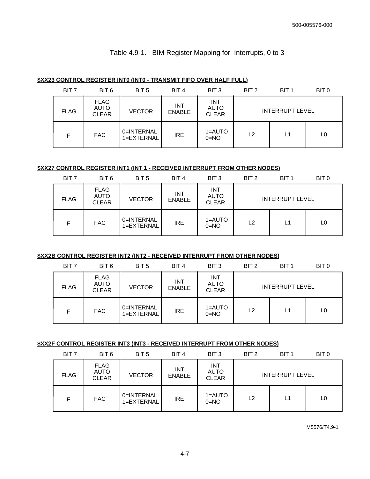#### Table 4.9-1. BIM Register Mapping for Interrupts, 0 to 3

#### **\$XX23 CONTROL REGISTER INT0 (INT0 - TRANSMIT FIFO OVER HALF FULL)**

| BIT <sub>7</sub> | BIT 6                                      | BIT <sub>5</sub>         | BIT <sub>4</sub>            | BIT <sub>3</sub>                          | BIT <sub>2</sub> | BIT <sub>1</sub>       | BIT 0 |
|------------------|--------------------------------------------|--------------------------|-----------------------------|-------------------------------------------|------------------|------------------------|-------|
| <b>FLAG</b>      | <b>FLAG</b><br><b>AUTO</b><br><b>CLEAR</b> | <b>VECTOR</b>            | <b>INT</b><br><b>ENABLE</b> | <b>INT</b><br><b>AUTO</b><br><b>CLEAR</b> |                  | <b>INTERRUPT LEVEL</b> |       |
| F                | <b>FAC</b>                                 | 0=INTERNAL<br>1=EXTERNAL | <b>IRE</b>                  | 1=AUTO<br>$0 = NO$                        | L <sub>2</sub>   | L1                     | L0    |

#### **\$XX27 CONTROL REGISTER INT1 (INT 1 - RECEIVED INTERRUPT FROM OTHER NODES)**

| BIT <sub>7</sub> | BIT 6                                      | BIT <sub>5</sub>         | BIT 4                       | BIT <sub>3</sub>                          | BIT 2 | BIT <sub>1</sub>       | BIT <sub>0</sub> |
|------------------|--------------------------------------------|--------------------------|-----------------------------|-------------------------------------------|-------|------------------------|------------------|
| <b>FLAG</b>      | <b>FLAG</b><br><b>AUTO</b><br><b>CLEAR</b> | <b>VECTOR</b>            | <b>INT</b><br><b>ENABLE</b> | <b>INT</b><br><b>AUTO</b><br><b>CLEAR</b> |       | <b>INTERRUPT LEVEL</b> |                  |
| F                | <b>FAC</b>                                 | 0=INTERNAL<br>1=EXTERNAL | IRE                         | 1=AUTO<br>$0 = NO$                        | L2    | L1                     | L0               |

#### **\$XX2B CONTROL REGISTER INT2 (INT2 - RECEIVED INTERRUPT FROM OTHER NODES)**

| BIT <sub>7</sub> | BIT 6                                      | BIT <sub>5</sub>         | BIT <sub>4</sub>            | BIT <sub>3</sub>                          | BIT <sub>2</sub> | BIT <sub>1</sub>       | BIT <sub>0</sub> |
|------------------|--------------------------------------------|--------------------------|-----------------------------|-------------------------------------------|------------------|------------------------|------------------|
| <b>FLAG</b>      | <b>FLAG</b><br><b>AUTO</b><br><b>CLEAR</b> | <b>VECTOR</b>            | <b>INT</b><br><b>ENABLE</b> | <b>INT</b><br><b>AUTO</b><br><b>CLEAR</b> |                  | <b>INTERRUPT LEVEL</b> |                  |
| F                | <b>FAC</b>                                 | 0=INTERNAL<br>1=EXTERNAL | <b>IRE</b>                  | 1=AUTO<br>$0 = NO$                        | L <sub>2</sub>   | L1                     | L0               |

#### **\$XX2F CONTROL REGISTER INT3 (INT3 - RECEIVED INTERRUPT FROM OTHER NODES)**

| BIT <sub>7</sub> | BIT 6                                      | BIT <sub>5</sub>         | BIT <sub>4</sub>            | BIT <sub>3</sub>                          | BIT <sub>2</sub> | BIT <sub>1</sub>       | BIT 0 |
|------------------|--------------------------------------------|--------------------------|-----------------------------|-------------------------------------------|------------------|------------------------|-------|
| <b>FLAG</b>      | <b>FLAG</b><br><b>AUTO</b><br><b>CLEAR</b> | <b>VECTOR</b>            | <b>INT</b><br><b>ENABLE</b> | <b>INT</b><br><b>AUTO</b><br><b>CLEAR</b> |                  | <b>INTERRUPT LEVEL</b> |       |
| F                | <b>FAC</b>                                 | 0=INTERNAL<br>1=EXTERNAL | IRE                         | $1 = AUTO$<br>$0 = NO$                    | L <sub>2</sub>   | L1                     | L0    |

M5576/T4.9-1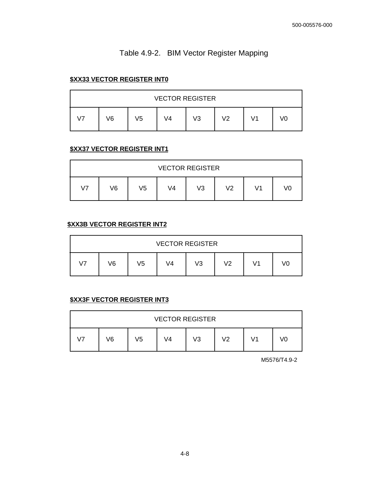## Table 4.9-2. BIM Vector Register Mapping

#### **\$XX33 VECTOR REGISTER INT0**

|    |    |    |    | <b>VECTOR REGISTER</b> |    |    |    |
|----|----|----|----|------------------------|----|----|----|
| 17 | V6 | V5 | V4 | V <sub>3</sub>         | V2 | 71 | V0 |

#### **\$XX37 VECTOR REGISTER INT1**

|                |    |    | <b>VECTOR REGISTER</b> |    |    |    |    |
|----------------|----|----|------------------------|----|----|----|----|
| V <sub>7</sub> | V6 | V5 | V4                     | V3 | V2 | V1 | V0 |

#### **\$XX3B VECTOR REGISTER INT2**

|                |    |    | <b>VECTOR REGISTER</b> |    |    |    |    |
|----------------|----|----|------------------------|----|----|----|----|
| V <sub>7</sub> | ۷6 | V5 | V4                     | V3 | V2 | V1 | V0 |

#### **\$XX3F VECTOR REGISTER INT3**

|    |    |            | <b>VECTOR REGISTER</b> |    |    |    |    |
|----|----|------------|------------------------|----|----|----|----|
| 17 | V6 | $\sqrt{5}$ | V4                     | V3 | V2 | V1 | V0 |

M5576/T4.9-2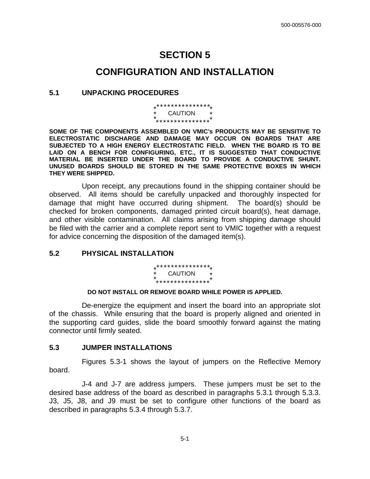## **SECTION 5**

## **CONFIGURATION AND INSTALLATION**

#### **5.1 UNPACKING PROCEDURES**

\*\*\*\*\*\*\*\*\*\*\*\*\*\*\* \*\*\*\*\*\*\*\*\*\*\*\*\*\*\* \* \* \* \* \* **CAUTION** 

**SOME OF THE COMPONENTS ASSEMBLED ON VMIC's PRODUCTS MAY BE SENSITIVE TO ELECTROSTATIC DISCHARGE AND DAMAGE MAY OCCUR ON BOARDS THAT ARE SUBJECTED TO A HIGH ENERGY ELECTROSTATIC FIELD. WHEN THE BOARD IS TO BE LAID ON A BENCH FOR CONFIGURING, ETC., IT IS SUGGESTED THAT CONDUCTIVE MATERIAL BE INSERTED UNDER THE BOARD TO PROVIDE A CONDUCTIVE SHUNT. UNUSED BOARDS SHOULD BE STORED IN THE SAME PROTECTIVE BOXES IN WHICH THEY WERE SHIPPED.**

 Upon receipt, any precautions found in the shipping container should be observed. All items should be carefully unpacked and thoroughly inspected for damage that might have occurred during shipment. The board(s) should be checked for broken components, damaged printed circuit board(s), heat damage, and other visible contamination. All claims arising from shipping damage should be filed with the carrier and a complete report sent to VMIC together with a request for advice concerning the disposition of the damaged item(s).

#### **5.2 PHYSICAL INSTALLATION**

\*\*\*\*\*\*\*\*\*\*\*\*\*\*\* \*\*\*\*\*\*\*\*\*\*\*\*\*\*\* \* \* \* \* CAUTION \*<br>\* \* \* \* \* \* \* \* \* \* \* <sup>\*</sup>

#### **DO NOT INSTALL OR REMOVE BOARD WHILE POWER IS APPLIED.**

 De-energize the equipment and insert the board into an appropriate slot of the chassis. While ensuring that the board is properly aligned and oriented in the supporting card guides, slide the board smoothly forward against the mating connector until firmly seated.

#### **5.3 JUMPER INSTALLATIONS**

Figures 5.3-1 shows the layout of jumpers on the Reflective Memory board.

 J-4 and J-7 are address jumpers. These jumpers must be set to the desired base address of the board as described in paragraphs 5.3.1 through 5.3.3. J3, J5, J8, and J9 must be set to configure other functions of the board as described in paragraphs 5.3.4 through 5.3.7.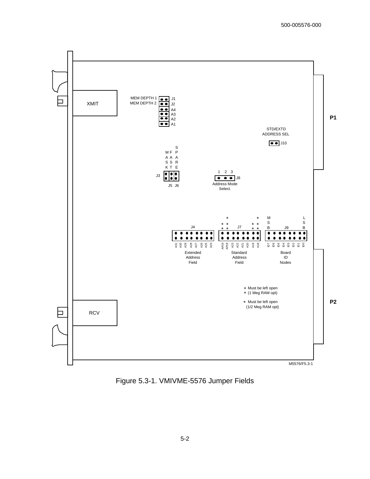

Figure 5.3-1. VMIVME-5576 Jumper Fields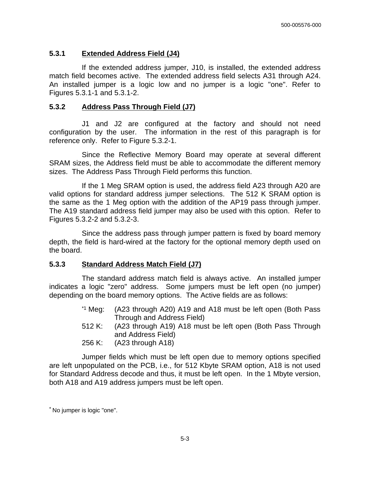#### **5.3.1 Extended Address Field (J4)**

 If the extended address jumper, J10, is installed, the extended address match field becomes active. The extended address field selects A31 through A24. An installed jumper is a logic low and no jumper is a logic "one". Refer to Figures 5.3.1-1 and 5.3.1-2.

#### **5.3.2 Address Pass Through Field (J7)**

J1 and J2 are configured at the factory and should not need configuration by the user. The information in the rest of this paragraph is for reference only. Refer to Figure 5.3.2-1.

 Since the Reflective Memory Board may operate at several different SRAM sizes, the Address field must be able to accommodate the different memory sizes. The Address Pass Through Field performs this function.

 If the 1 Meg SRAM option is used, the address field A23 through A20 are valid options for standard address jumper selections. The 512 K SRAM option is the same as the 1 Meg option with the addition of the AP19 pass through jumper. The A19 standard address field jumper may also be used with this option. Refer to Figures 5.3.2-2 and 5.3.2-3.

 Since the address pass through jumper pattern is fixed by board memory depth, the field is hard-wired at the factory for the optional memory depth used on the board.

#### **5.3.3 Standard Address Match Field (J7)**

 The standard address match field is always active. An installed jumper indicates a logic "zero" address. Some jumpers must be left open (no jumper) depending on the board memory options. The Active fields are as follows:

- \*1 Meg: (A23 through A20) A19 and A18 must be left open (Both Pass Through and Address Field)
- 512 K: (A23 through A19) A18 must be left open (Both Pass Through and Address Field)
- 256 K: (A23 through A18)

 Jumper fields which must be left open due to memory options specified are left unpopulated on the PCB, i.e., for 512 Kbyte SRAM option, A18 is not used for Standard Address decode and thus, it must be left open. In the 1 Mbyte version, both A18 and A19 address jumpers must be left open.

<sup>\*</sup> No jumper is logic "one".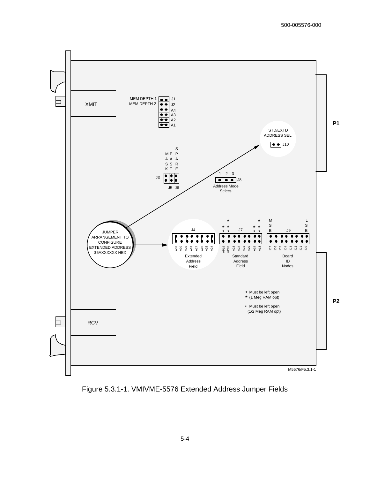

Figure 5.3.1-1. VMIVME-5576 Extended Address Jumper Fields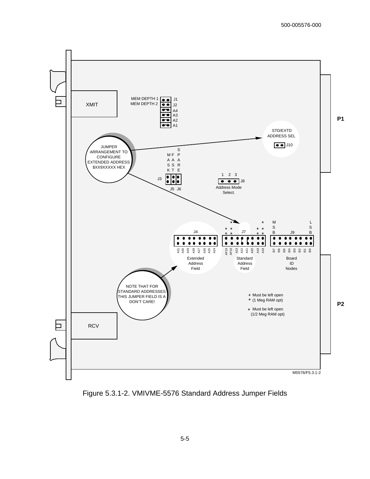

Figure 5.3.1-2. VMIVME-5576 Standard Address Jumper Fields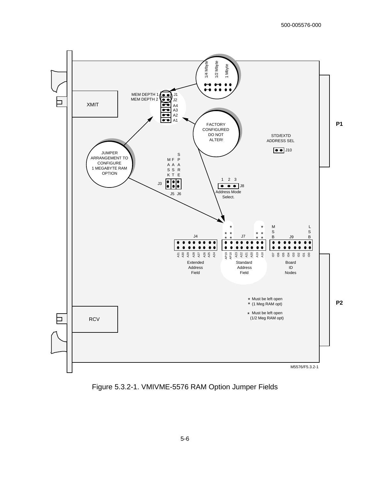

Figure 5.3.2-1. VMIVME-5576 RAM Option Jumper Fields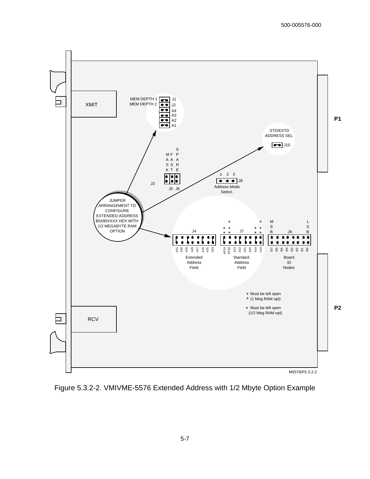

Figure 5.3.2-2. VMIVME-5576 Extended Address with 1/2 Mbyte Option Example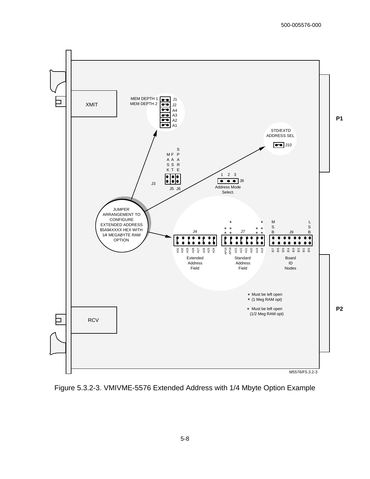

Figure 5.3.2-3. VMIVME-5576 Extended Address with 1/4 Mbyte Option Example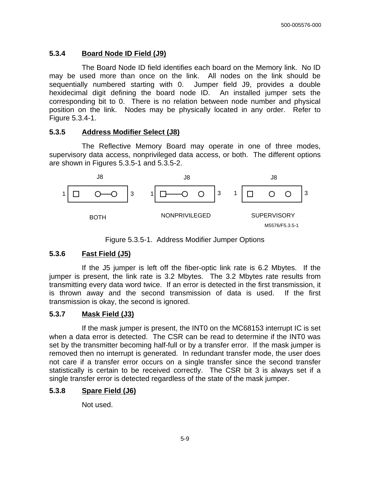#### **5.3.4 Board Node ID Field (J9)**

The Board Node ID field identifies each board on the Memory link. No ID may be used more than once on the link. All nodes on the link should be sequentially numbered starting with 0. Jumper field J9, provides a double hexidecimal digit defining the board node ID. An installed jumper sets the corresponding bit to 0. There is no relation between node number and physical position on the link. Nodes may be physically located in any order. Refer to Figure 5.3.4-1.

#### **5.3.5 Address Modifier Select (J8)**

 The Reflective Memory Board may operate in one of three modes, supervisory data access, nonprivileged data access, or both. The different options are shown in Figures 5.3.5-1 and 5.3.5-2.



Figure 5.3.5-1. Address Modifier Jumper Options

#### **5.3.6 Fast Field (J5)**

 If the J5 jumper is left off the fiber-optic link rate is 6.2 Mbytes. If the jumper is present, the link rate is 3.2 Mbytes. The 3.2 Mbytes rate results from transmitting every data word twice. If an error is detected in the first transmission, it is thrown away and the second transmission of data is used. If the first transmission is okay, the second is ignored.

#### **5.3.7 Mask Field (J3)**

 If the mask jumper is present, the INT0 on the MC68153 interrupt IC is set when a data error is detected. The CSR can be read to determine if the INT0 was set by the transmitter becoming half-full or by a transfer error. If the mask jumper is removed then no interrupt is generated. In redundant transfer mode, the user does not care if a transfer error occurs on a single transfer since the second transfer statistically is certain to be received correctly. The CSR bit 3 is always set if a single transfer error is detected regardless of the state of the mask jumper.

#### **5.3.8 Spare Field (J6)**

Not used.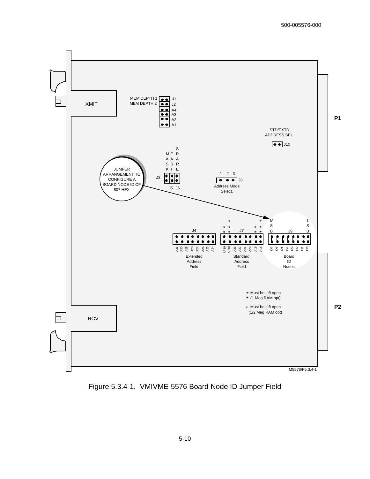

Figure 5.3.4-1. VMIVME-5576 Board Node ID Jumper Field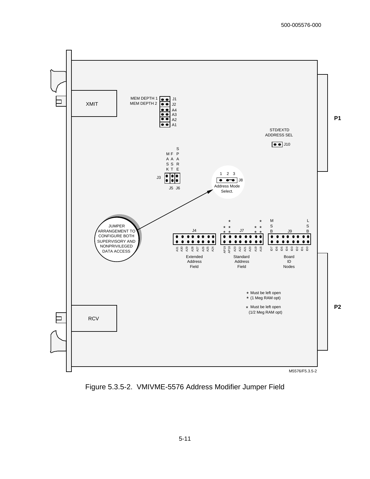

Figure 5.3.5-2. VMIVME-5576 Address Modifier Jumper Field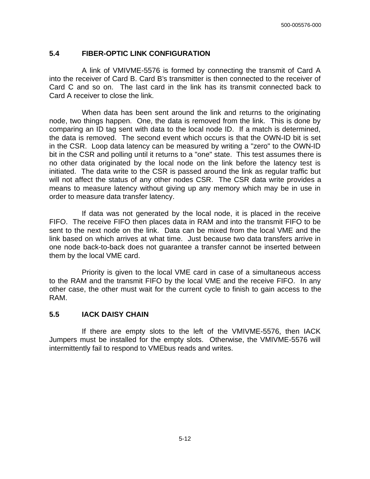#### **5.4 FIBER-OPTIC LINK CONFIGURATION**

 A link of VMIVME-5576 is formed by connecting the transmit of Card A into the receiver of Card B. Card B's transmitter is then connected to the receiver of Card C and so on. The last card in the link has its transmit connected back to Card A receiver to close the link.

 When data has been sent around the link and returns to the originating node, two things happen. One, the data is removed from the link. This is done by comparing an ID tag sent with data to the local node ID. If a match is determined, the data is removed. The second event which occurs is that the OWN-ID bit is set in the CSR. Loop data latency can be measured by writing a "zero" to the OWN-ID bit in the CSR and polling until it returns to a "one" state. This test assumes there is no other data originated by the local node on the link before the latency test is initiated. The data write to the CSR is passed around the link as regular traffic but will not affect the status of any other nodes CSR. The CSR data write provides a means to measure latency without giving up any memory which may be in use in order to measure data transfer latency.

 If data was not generated by the local node, it is placed in the receive FIFO. The receive FIFO then places data in RAM and into the transmit FIFO to be sent to the next node on the link. Data can be mixed from the local VME and the link based on which arrives at what time. Just because two data transfers arrive in one node back-to-back does not guarantee a transfer cannot be inserted between them by the local VME card.

 Priority is given to the local VME card in case of a simultaneous access to the RAM and the transmit FIFO by the local VME and the receive FIFO. In any other case, the other must wait for the current cycle to finish to gain access to the RAM.

#### **5.5 IACK DAISY CHAIN**

 If there are empty slots to the left of the VMIVME-5576, then IACK Jumpers must be installed for the empty slots. Otherwise, the VMIVME-5576 will intermittently fail to respond to VMEbus reads and writes.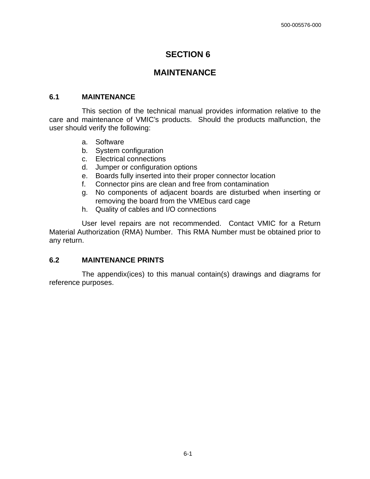## **SECTION 6**

## **MAINTENANCE**

#### **6.1 MAINTENANCE**

This section of the technical manual provides information relative to the care and maintenance of VMIC's products. Should the products malfunction, the user should verify the following:

- a. Software
- b. System configuration
- c. Electrical connections
- d. Jumper or configuration options
- e. Boards fully inserted into their proper connector location
- f. Connector pins are clean and free from contamination
- g. No components of adjacent boards are disturbed when inserting or removing the board from the VMEbus card cage
- h. Quality of cables and I/O connections

 User level repairs are not recommended. Contact VMIC for a Return Material Authorization (RMA) Number. This RMA Number must be obtained prior to any return.

#### **6.2 MAINTENANCE PRINTS**

The appendix(ices) to this manual contain(s) drawings and diagrams for reference purposes.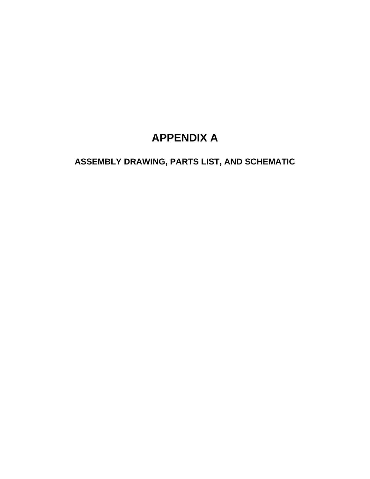# **APPENDIX A**

**ASSEMBLY DRAWING, PARTS LIST, AND SCHEMATIC**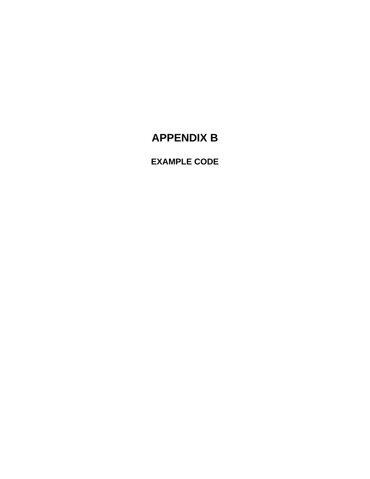# **APPENDIX B**

**EXAMPLE CODE**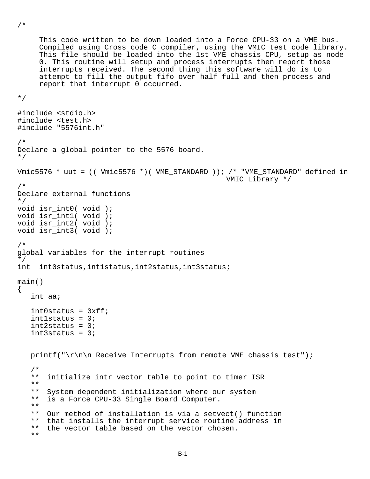```
 This code written to be down loaded into a Force CPU-33 on a VME bus. 
      Compiled using Cross code C compiler, using the VMIC test code library. 
      This file should be loaded into the 1st VME chassis CPU, setup as node 
      0. This routine will setup and process interrupts then report those 
      interrupts received. The second thing this software will do is to 
      attempt to fill the output fifo over half full and then process and 
      report that interrupt 0 occurred. 
*/ 
#include <stdio.h> 
#include <test.h> 
#include "5576int.h" 
/* 
Declare a global pointer to the 5576 board. 
*/ 
Vmic5576 * uut = (( Vmic5576 *)( VME_STANDARD )); /* "VME_STANDARD" defined in 
                                                      VMIC Library */ 
/* 
Declare external functions 
*/ 
void isr int0( void );
void isr_int1( void ); 
void isr_int2( void ); 
void isr int3( void );
/* 
global variables for the interrupt routines 
*/ 
int int0status,int1status,int2status,int3status; 
main() 
{ 
    int aa; 
   int0status = 0xff;
    int1status = 0; 
   int2status = 0i int3status = 0; 
   printf("\r\n\n Receive Interrupts from remote VME chassis test");
   / *<br>* *
       initialize intr vector table to point to timer ISR
    ** 
    ** System dependent initialization where our system 
    ** is a Force CPU-33 Single Board Computer. 
    ** 
    ** Our method of installation is via a setvect() function 
   ** that installs the interrupt service routine address in<br>** the yector table based on the yector chosen
       the vector table based on the vector chosen.
    **
```
/\*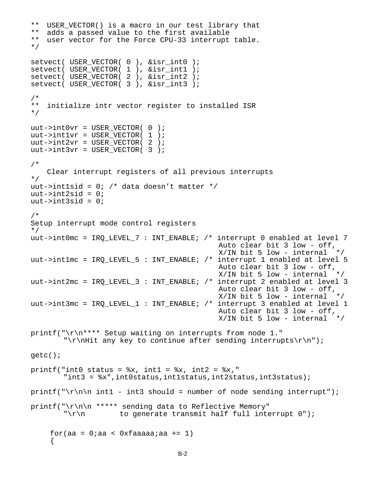```
 ** USER_VECTOR() is a macro in our test library that 
    ** adds a passed value to the first available 
    ** user vector for the Force CPU-33 interrupt table. 
    */ 
   setvect( USER_VECTOR( 0 ), &isr_int0 ); 
 setvect( USER_VECTOR( 1 ), &isr_int1 ); 
 setvect( USER_VECTOR( 2 ), &isr_int2 ); 
  setvect( USER VECTOR( 3 ), &isr int3 );
    /* 
    ** initialize intr vector register to installed ISR 
    */ 
  uut\rightarrow int0vr = USER_VECTOR( 0 );
  uut->int1vr = USER VECTOR( 1 );
  uut->int2vr = USER_VECTOR( 2 );
  uut->int3vr = USER_VECTOR( 3 );
    /* 
       Clear interrupt registers of all previous interrupts 
    */ 
  uut->int1sid = 0; /* data doesn't matter */uut->int2sid = 0;
  uut->int3sid = 0; /* 
   Setup interrupt mode control registers 
    */ 
   uut->int0mc = IRQ_LEVEL_7 : INT_ENABLE; /* interrupt 0 enabled at level 7 
                                                Auto clear bit 3 low - off, 
                                               X/IN bit 5 low - internal */uut->int1mc = IRO LEVEL 5 : INT ENABLE; /* interrupt 1 enabled at level 5
                                                Auto clear bit 3 low - off, 
                                               X/IN bit 5 low - internal */ uut->int2mc = IRQ_LEVEL_3 : INT_ENABLE; /* interrupt 2 enabled at level 3 
                                                Auto clear bit 3 low - off, 
                                               X/IN bit 5 low - internal */ uut->int3mc = IRQ_LEVEL_1 : INT_ENABLE; /* interrupt 3 enabled at level 1 
                                                Auto clear bit 3 low - off, 
                                               X/IN bit 5 low - internal */ printf("\r\n**** Setup waiting on interrupts from node 1." 
          "\r\nHit any key to continue after sending interrupts\r\n");
   getc(); 
  printf("int0 status = x, int1 = x, int2 = x,"
           "int3 = %x",int0status,int1status,int2status,int3status); 
  printf("\r\n\n int1 - int3 should = number of node sending interrupt");
  printf("\r\n\n ***** sending data to Reflective Memory"
          "\r\nu to generate transmit half full interrupt 0";
       for(aa = 0;aa < 0xfaaaaa;aa += 1)
\{
```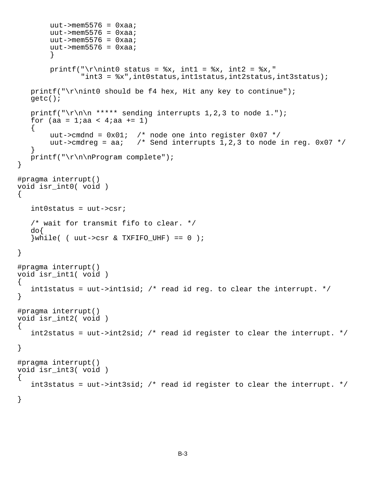```
uut->mem5576 = 0xaa;uut->mem5576 = 0xaa;uut->mem5576 = 0xaa;uut->mem5576 = 0xaa;
 } 
       printf("\r\nint0 status = x, int1 = x, int2 = x,"
                "int3 = %x",int0status,int1status,int2status,int3status); 
   printf("\r\nint0 should be f4 hex, Hit any key to continue");
    getc(); 
   printf("\r\n\n ***** sending interrupts 1,2,3 to node 1.");
   for (aa = 1;aa < 4;aa += 1)
   \left\{ \right.uut->cmdnd = 0x01; /* node one into register 0x07 */
       uut->cmdreg = aa; /* Send interrupts 1,2,3 to node in reg. 0x07 */
 } 
   print(f("\r\n\nPregram complete");} 
#pragma interrupt() 
void isr_int0( void ) 
{ 
    int0status = uut->csr; 
    /* wait for transmit fifo to clear. */ 
    do{ 
   \{while( ( uut->csr \& TXFIFO UHF) == 0 \};
} 
#pragma interrupt() 
void isr_int1( void ) 
\{ int1status = uut->int1sid; /* read id reg. to clear the interrupt. */ 
} 
#pragma interrupt() 
void isr_int2( void ) 
\{ int2status = uut->int2sid; /* read id register to clear the interrupt. */ 
} 
#pragma interrupt() 
void isr_int3( void ) 
\{int3status = uut->int3sid; /* read id register to clear the interrupt. */}
```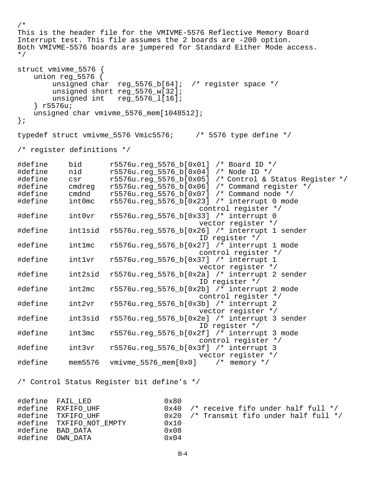```
/* 
This is the header file for the VMIVME-5576 Reflective Memory Board 
Interrupt test. This file assumes the 2 boards are -200 option. 
Both VMIVME-5576 boards are jumpered for Standard Either Mode access. 
*/ 
struct vmivme_5576 { 
    union reg_5576 { 
        unsigned char reg 5576 b[64]; /* register space */
         unsigned short reg_5576_w[32]; 
        unsigned int reg_5576_1[16];
     } r5576u; 
   unsigned char vmivme 5576 mem[1048512];
}; 
typedef struct vmivme 5576 Vmic5576; /* 5576 type define */
/* register definitions */ 
#define bid r5576u.reg_5576_b[0x01] /* Board ID */ 
#define nid r5576u.reg_5576_b[0x04] /* Node ID */ 
           csr r5576u.reg_5576_b[0x05] /* Control & Status Register */
#define cmdreg r5576u.reg_5576_b[0x06] /* Command register */<br>#define cmdnd r5576u.reg_5576_b[0x07] /* Command node */<br>#define int0mc r5576u.reg_5576_b[0x23] /* interrupt 0 mode
#define cmdnd r5576u.reg_5576_b[0x07] /* Command node */ 
#define int0mc r5576u.reg_5576_b[0x23] /* interrupt 0 mode 
 control register */ 
                     r5576u.reg_5576_b[0x33] /* interrupt 0
                                           vector register */ 
#define int1sid r5576u.reg_5576_b[0x26] /* interrupt 1 sender 
                                           ID register */ 
#define int1mc r5576u.reg_5576_b[0x27] /* interrupt 1 mode 
           control register */<br>intlvr   r5576u.reg 5576 b[0x37] /* interrupt 1
#define int1vr r5576u.reg_5576_b[0x37] /* interrupt 1 
                                           vector register */ 
#define int2sid r5576u.reg_5576_b[0x2a] /* interrupt 2 sender 
ID register */<br>define int2mc r5576u.reg_5576_b[0x2b] /* interrup#
                     r5576u.reg_5576_b[0x2b] /* interrupt 2 mode
            control register */ 
#define int2vr r5576u.reg_5576_b[0x3b] /* interrupt 2 
                                           vector register */ 
#define int3sid r5576u.reg_5576_b[0x2e] /* interrupt 3 sender 
                                           ID register */ 
#define int3mc r5576u.reg_5576_b[0x2f] /* interrupt 3 mode 
                                           control register */ 
#define int3vr r5576u.reg_5576_b[0x3f] /* interrupt 3 
                                           vector register */ 
#define mem5576 vmivme_5576_mem[0x0] /* memory */ 
/* Control Status Register bit define's */ 
#define FAIL_LED 0x80 
                                  0x40 /* receive fifo under half full */
#define TXFIFO UHF 0x20 /* Transmit fifo under half full */
#define TXFIFO_NOT_EMPTY 0x10
\frac{1}{4}define BAD_DATA \frac{1}{4} 0x08<br>\frac{1}{4}define OWN DATA 0 \times 04#define OWN DATA
```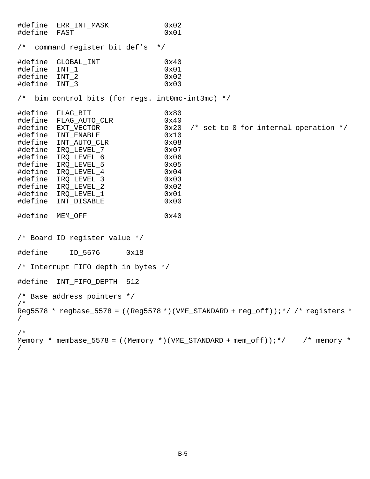#define ERR\_INT\_MASK 0x02 #define FAST 0x01 /\* command register bit def's \*/ #define GLOBAL\_INT 0x40 #define INT 1 #define INT\_2 0x02 #define INT\_3 0x03 /\* bim control bits (for regs. int0mc-int3mc) \*/ #define FLAG\_BIT 0x80 #define FLAG\_AUTO\_CLR<br>#define EXT\_VECTOR  $0x20$  /\* set to 0 for internal operation \*/ #define INT\_ENABLE 0x10 #define INT\_AUTO\_CLR #define IRQ\_LEVEL\_7 0x07<br>#define IRO LEVEL 6 0x06 #define IRQ\_LEVEL\_6 0x06 #define IRO LEVEL 5 #define IRQ\_LEVEL\_4 0x04 #define IRQ\_LEVEL\_3 0x03 #define IRQ\_LEVEL\_2 0x02 #define IRQ\_LEVEL\_1 0x01 #define INT\_DISABLE 0x00 #define MEM\_OFF 0x40 /\* Board ID register value \*/ #define ID\_5576 0x18 /\* Interrupt FIFO depth in bytes \*/ #define INT FIFO DEPTH 512 /\* Base address pointers \*/ /\* Reg5578 \* regbase 5578 = ((Reg5578 \*)(VME STANDARD + reg off));\*/ /\* registers \* / /\* Memory \* membase\_5578 = ((Memory \*)(VME\_STANDARD + mem\_off));\*/  $\qquad$  /\* memory \* /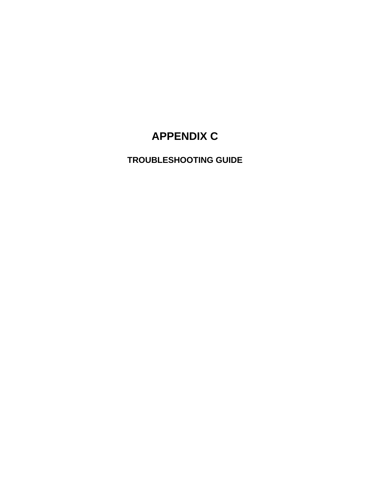# **APPENDIX C**

**TROUBLESHOOTING GUIDE**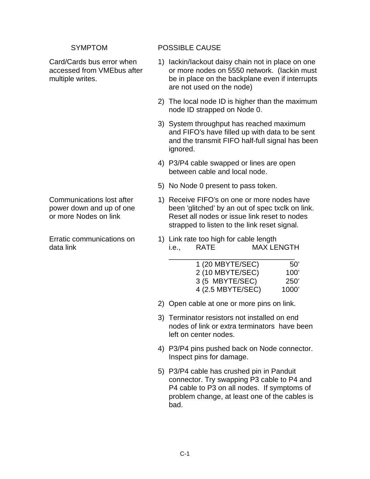#### SYMPTOM POSSIBLE CAUSE

- Card/Cards bus error when 1) lackin/lackout daisy chain not in place on one accessed from VMEbus after or more nodes on 5550 network. (Iackin must multiple writes. be in place on the backplane even if interrupts are not used on the node)
	- 2) The local node ID is higher than the maximum node ID strapped on Node 0.
	- 3) System throughput has reached maximum and FIFO's have filled up with data to be sent and the transmit FIFO half-full signal has been ignored.
	- 4) P3/P4 cable swapped or lines are open between cable and local node.
	- 5) No Node 0 present to pass token.
- Communications lost after 1) Receive FIFO's on one or more nodes have power down and up of one been 'glitched' by an out of spec txclk on link. or more Nodes on link Reset all nodes or issue link reset to nodes strapped to listen to the link reset signal.
- Erratic communications on 1) Link rate too high for cable length data link i.e., RATE MAX LENGTH

| 50'   | 1 (20 MBYTE/SEC)  |
|-------|-------------------|
| 100'  | 2 (10 MBYTE/SEC)  |
| 250'  | 3 (5 MBYTE/SEC)   |
| 1000' | 4 (2.5 MBYTE/SEC) |

- 2) Open cable at one or more pins on link.
- 3) Terminator resistors not installed on end nodes of link or extra terminators have been left on center nodes.
- 4) P3/P4 pins pushed back on Node connector. Inspect pins for damage.
- 5) P3/P4 cable has crushed pin in Panduit connector. Try swapping P3 cable to P4 and P4 cable to P3 on all nodes. If symptoms of problem change, at least one of the cables is bad.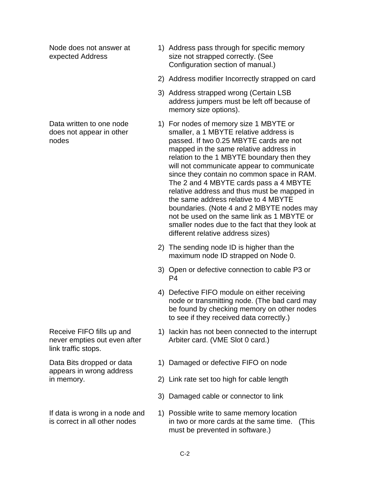link traffic stops.

appears in wrong address

- Node does not answer at 1) Address pass through for specific memory expected Address size not strapped correctly. (See Configuration section of manual.)
	- 2) Address modifier Incorrectly strapped on card
	- 3) Address strapped wrong (Certain LSB address jumpers must be left off because of memory size options).
- Data written to one node 1) For nodes of memory size 1 MBYTE or does not appear in other smaller, a 1 MBYTE relative address is nodes passed. If two 0.25 MBYTE cards are not mapped in the same relative address in relation to the 1 MBYTE boundary then they will not communicate appear to communicate since they contain no common space in RAM. The 2 and 4 MBYTE cards pass a 4 MBYTE relative address and thus must be mapped in the same address relative to 4 MBYTE boundaries. (Note 4 and 2 MBYTE nodes may not be used on the same link as 1 MBYTE or smaller nodes due to the fact that they look at different relative address sizes)
	- 2) The sending node ID is higher than the maximum node ID strapped on Node 0.
	- 3) Open or defective connection to cable P3 or P4
	- 4) Defective FIFO module on either receiving node or transmitting node. (The bad card may be found by checking memory on other nodes to see if they received data correctly.)
- Receive FIFO fills up and 1) lackin has not been connected to the interrupt never empties out even after Arbiter card. (VME Slot 0 card.)
- Data Bits dropped or data 1) Damaged or defective FIFO on node
- in memory. 2) Link rate set too high for cable length
	- 3) Damaged cable or connector to link
- If data is wrong in a node and 1) Possible write to same memory location is correct in all other nodes in two or more cards at the same time. (This must be prevented in software.)